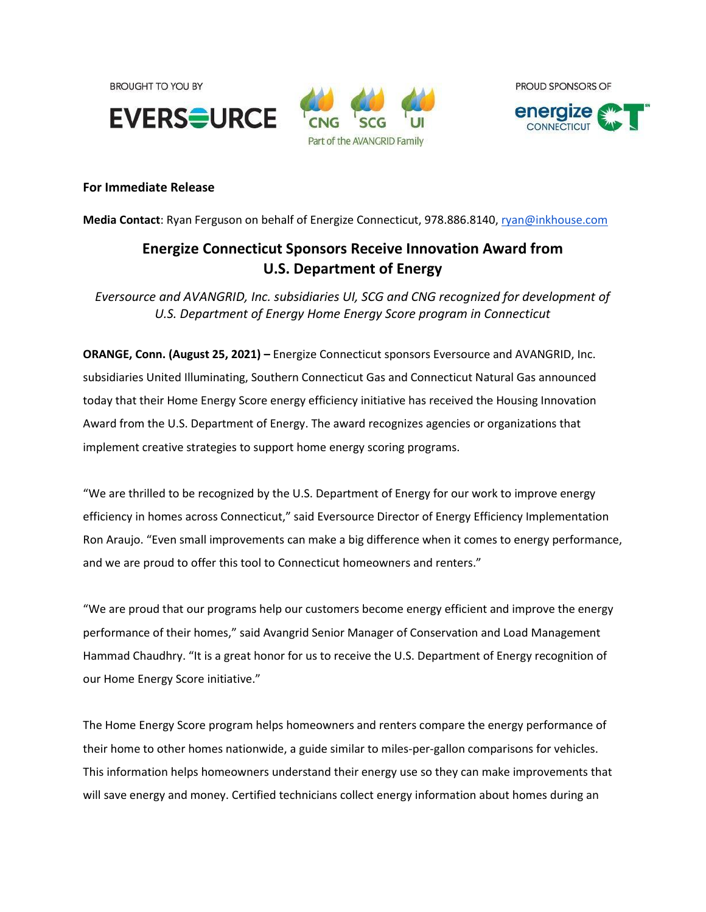**BROUGHT TO YOU BY** 







# **For Immediate Release**

**Media Contact**: Ryan Ferguson on behalf of Energize Connecticut, 978.886.8140, [ryan@inkhouse.com](mailto:ryan@inkhouse.com)

# **Energize Connecticut Sponsors Receive Innovation Award from U.S. Department of Energy**

*Eversource and AVANGRID, Inc. subsidiaries UI, SCG and CNG recognized for development of U.S. Department of Energy Home Energy Score program in Connecticut*

**ORANGE, Conn. (August 25, 2021) –** Energize Connecticut sponsors Eversource and AVANGRID, Inc. subsidiaries United Illuminating, Southern Connecticut Gas and Connecticut Natural Gas announced today that their Home Energy Score energy efficiency initiative has received the Housing Innovation Award from the U.S. Department of Energy. The award recognizes agencies or organizations that implement creative strategies to support home energy scoring programs.

"We are thrilled to be recognized by the U.S. Department of Energy for our work to improve energy efficiency in homes across Connecticut," said Eversource Director of Energy Efficiency Implementation Ron Araujo. "Even small improvements can make a big difference when it comes to energy performance, and we are proud to offer this tool to Connecticut homeowners and renters."

"We are proud that our programs help our customers become energy efficient and improve the energy performance of their homes," said Avangrid Senior Manager of Conservation and Load Management Hammad Chaudhry. "It is a great honor for us to receive the U.S. Department of Energy recognition of our Home Energy Score initiative."

The Home Energy Score program helps homeowners and renters compare the energy performance of their home to other homes nationwide, a guide similar to miles-per-gallon comparisons for vehicles. This information helps homeowners understand their energy use so they can make improvements that will save energy and money. Certified technicians collect energy information about homes during an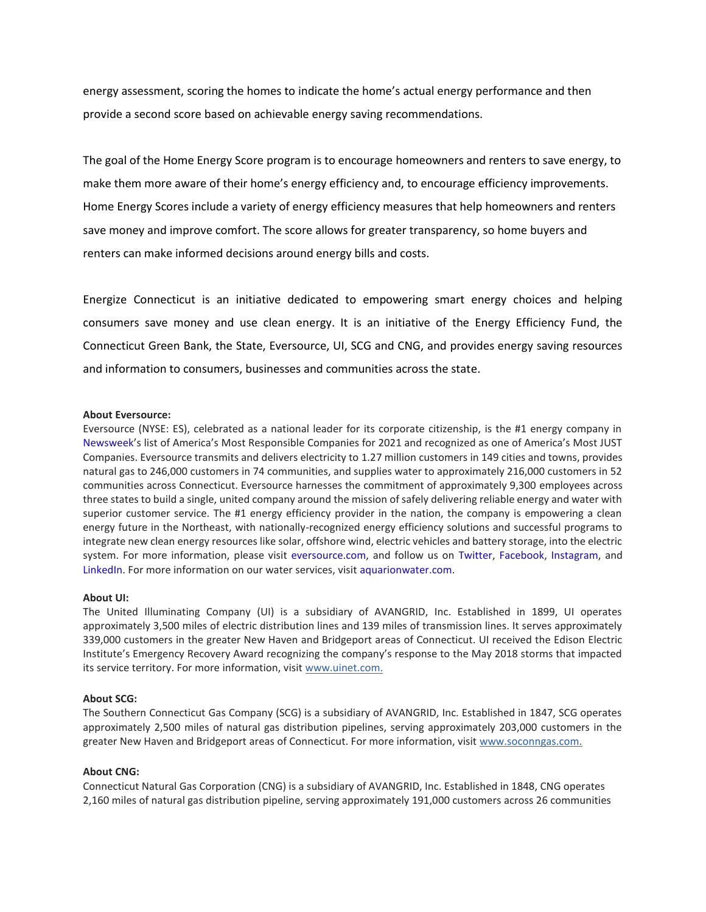energy assessment, scoring the homes to indicate the home's actual energy performance and then provide a second score based on achievable energy saving recommendations.

The goal of the Home Energy Score program is to encourage homeowners and renters to save energy, to make them more aware of their home's energy efficiency and, to encourage efficiency improvements. Home Energy Scores include a variety of energy efficiency measures that help homeowners and renters save money and improve comfort. The score allows for greater transparency, so home buyers and renters can make informed decisions around energy bills and costs.

Energize Connecticut is an initiative dedicated to empowering smart energy choices and helping consumers save money and use clean energy. It is an initiative of the Energy Efficiency Fund, the Connecticut Green Bank, the State, Eversource, UI, SCG and CNG, and provides energy saving resources and information to consumers, businesses and communities across the state.

## **About Eversource:**

Eversource (NYSE: ES), celebrated as a national leader for its corporate citizenship, is the #1 energy company in [Newsweek](https://www.newsweek.com/americas-most-responsible-companies-2021)'s list of America's Most Responsible Companies for 2021 and recognized as one of America's Most JUST Companies. Eversource transmits and delivers electricity to 1.27 million customers in 149 cities and towns, provides natural gas to 246,000 customers in 74 communities, and supplies water to approximately 216,000 customers in 52 communities across Connecticut. Eversource harnesses the commitment of approximately 9,300 employees across three states to build a single, united company around the mission of safely delivering reliable energy and water with superior customer service. The #1 energy efficiency provider in the nation, the company is empowering a clean energy future in the Northeast, with nationally-recognized energy efficiency solutions and successful programs to integrate new clean energy resources like solar, offshore wind, electric vehicles and battery storage, into the electric system. For more information, please visit [eversource.com,](http://eversource.com/) and follow us on [Twitter,](http://twitter.com/eversourcect) [Facebook,](http://facebook.com/eversourcect) [Instagram,](http://instagram.com/eversourceenergy) and [LinkedIn.](https://www.linkedin.com/company/eversourceenergy) For more information on our water services, visit [aquarionwater.com.](http://aquarionwater.com/)

## **About UI:**

The United Illuminating Company (UI) is a subsidiary of AVANGRID, Inc. Established in 1899, UI operates approximately 3,500 miles of electric distribution lines and 139 miles of transmission lines. It serves approximately 339,000 customers in the greater New Haven and Bridgeport areas of Connecticut. UI received the Edison Electric Institute's Emergency Recovery Award recognizing the company's response to the May 2018 storms that impacted its service territory. For more information, visit [www.uinet.com.](http://www.uinet.com./)

#### **About SCG:**

The Southern Connecticut Gas Company (SCG) is a subsidiary of AVANGRID, Inc. Established in 1847, SCG operates approximately 2,500 miles of natural gas distribution pipelines, serving approximately 203,000 customers in the greater New Haven and Bridgeport areas of Connecticut. For more information, visit [www.soconngas.com.](http://www.soconngas.com./)

## **About CNG:**

Connecticut Natural Gas Corporation (CNG) is a subsidiary of AVANGRID, Inc. Established in 1848, CNG operates 2,160 miles of natural gas distribution pipeline, serving approximately 191,000 customers across 26 communities